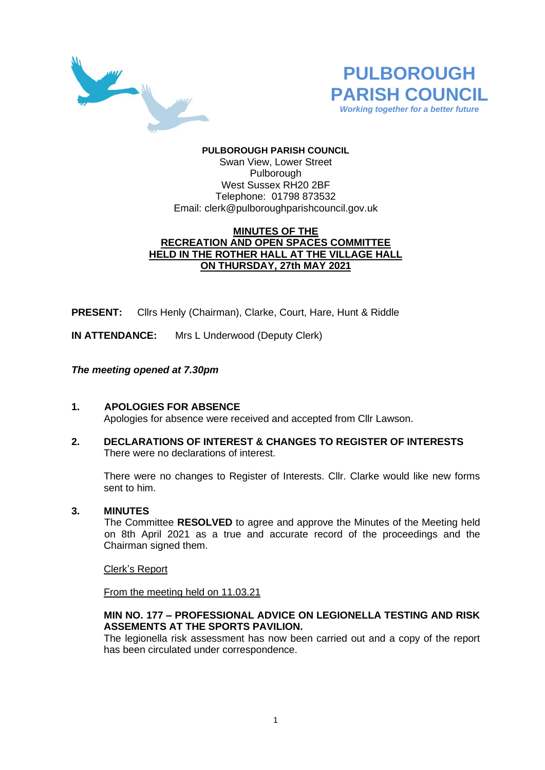



## **PULBOROUGH PARISH COUNCIL** Swan View, Lower Street Pulborough West Sussex RH20 2BF Telephone: 01798 873532 Email: [clerk@pulboroughparishcouncil.gov.uk](mailto:clerk@pulboroughparishcouncil.gov.uk)

# **MINUTES OF THE RECREATION AND OPEN SPACES COMMITTEE HELD IN THE ROTHER HALL AT THE VILLAGE HALL ON THURSDAY, 27th MAY 2021**

**PRESENT:** Cllrs Henly (Chairman), Clarke, Court, Hare, Hunt & Riddle

**IN ATTENDANCE:** Mrs L Underwood (Deputy Clerk)

# *The meeting opened at 7.30pm*

- **1. APOLOGIES FOR ABSENCE** Apologies for absence were received and accepted from Cllr Lawson.
- **2. DECLARATIONS OF INTEREST & CHANGES TO REGISTER OF INTERESTS** There were no declarations of interest.

There were no changes to Register of Interests. Cllr. Clarke would like new forms sent to him.

## **3. MINUTES**

The Committee **RESOLVED** to agree and approve the Minutes of the Meeting held on 8th April 2021 as a true and accurate record of the proceedings and the Chairman signed them.

Clerk's Report

From the meeting held on 11.03.21

## **MIN NO. 177 – PROFESSIONAL ADVICE ON LEGIONELLA TESTING AND RISK ASSEMENTS AT THE SPORTS PAVILION.**

The legionella risk assessment has now been carried out and a copy of the report has been circulated under correspondence.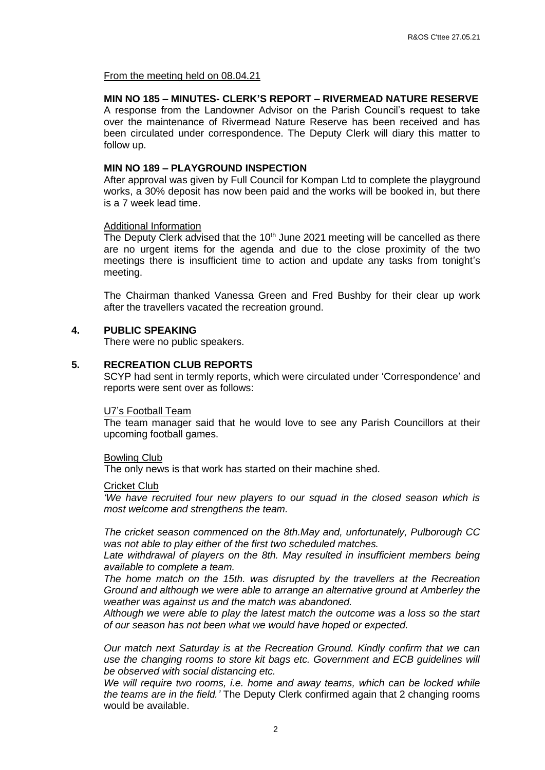From the meeting held on 08.04.21

#### **MIN NO 185 – MINUTES- CLERK'S REPORT – RIVERMEAD NATURE RESERVE**

A response from the Landowner Advisor on the Parish Council's request to take over the maintenance of Rivermead Nature Reserve has been received and has been circulated under correspondence. The Deputy Clerk will diary this matter to follow up.

### **MIN NO 189 – PLAYGROUND INSPECTION**

After approval was given by Full Council for Kompan Ltd to complete the playground works, a 30% deposit has now been paid and the works will be booked in, but there is a 7 week lead time.

#### Additional Information

The Deputy Clerk advised that the  $10<sup>th</sup>$  June 2021 meeting will be cancelled as there are no urgent items for the agenda and due to the close proximity of the two meetings there is insufficient time to action and update any tasks from tonight's meeting.

The Chairman thanked Vanessa Green and Fred Bushby for their clear up work after the travellers vacated the recreation ground.

#### **4. PUBLIC SPEAKING**

There were no public speakers.

#### **5. RECREATION CLUB REPORTS**

SCYP had sent in termly reports, which were circulated under 'Correspondence' and reports were sent over as follows:

#### U7's Football Team

The team manager said that he would love to see any Parish Councillors at their upcoming football games.

#### Bowling Club

The only news is that work has started on their machine shed.

#### Cricket Club

*'We have recruited four new players to our squad in the closed season which is most welcome and strengthens the team.*

*The cricket season commenced on the 8th.May and, unfortunately, Pulborough CC was not able to play either of the first two scheduled matches.*

Late withdrawal of players on the 8th. May resulted in insufficient members being *available to complete a team.*

*The home match on the 15th. was disrupted by the travellers at the Recreation Ground and although we were able to arrange an alternative ground at Amberley the weather was against us and the match was abandoned.*

*Although we were able to play the latest match the outcome was a loss so the start of our season has not been what we would have hoped or expected.*

*Our match next Saturday is at the Recreation Ground. Kindly confirm that we can use the changing rooms to store kit bags etc. Government and ECB guidelines will be observed with social distancing etc.*

*We will require two rooms, i.e. home and away teams, which can be locked while the teams are in the field.'* The Deputy Clerk confirmed again that 2 changing rooms would be available.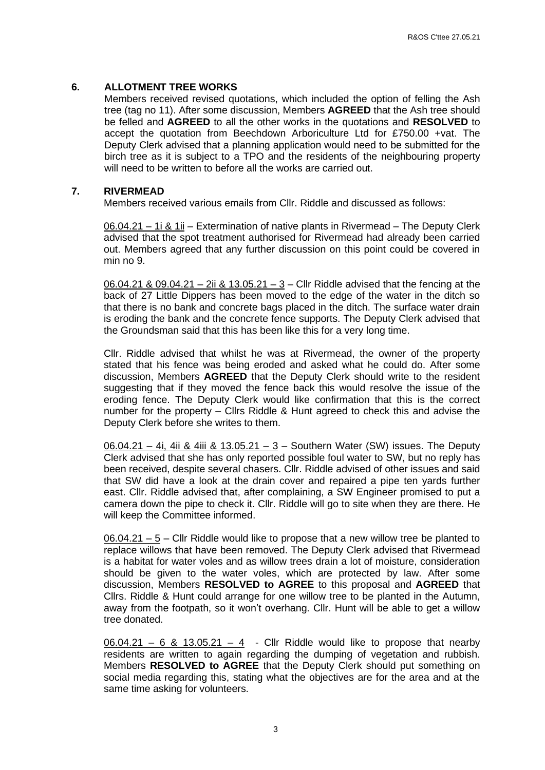## **6. ALLOTMENT TREE WORKS**

Members received revised quotations, which included the option of felling the Ash tree (tag no 11). After some discussion, Members **AGREED** that the Ash tree should be felled and **AGREED** to all the other works in the quotations and **RESOLVED** to accept the quotation from Beechdown Arboriculture Ltd for £750.00 +vat. The Deputy Clerk advised that a planning application would need to be submitted for the birch tree as it is subject to a TPO and the residents of the neighbouring property will need to be written to before all the works are carried out.

## **7. RIVERMEAD**

Members received various emails from Cllr. Riddle and discussed as follows:

06.04.21 – 1i & 1ii – Extermination of native plants in Rivermead – The Deputy Clerk advised that the spot treatment authorised for Rivermead had already been carried out. Members agreed that any further discussion on this point could be covered in min no 9.

06.04.21 & 09.04.21 – 2ii & 13.05.21 – 3 – Cllr Riddle advised that the fencing at the back of 27 Little Dippers has been moved to the edge of the water in the ditch so that there is no bank and concrete bags placed in the ditch. The surface water drain is eroding the bank and the concrete fence supports. The Deputy Clerk advised that the Groundsman said that this has been like this for a very long time.

Cllr. Riddle advised that whilst he was at Rivermead, the owner of the property stated that his fence was being eroded and asked what he could do. After some discussion, Members **AGREED** that the Deputy Clerk should write to the resident suggesting that if they moved the fence back this would resolve the issue of the eroding fence. The Deputy Clerk would like confirmation that this is the correct number for the property – Cllrs Riddle & Hunt agreed to check this and advise the Deputy Clerk before she writes to them.

06.04.21 – 4i, 4ii & 4iii & 13.05.21 – 3 – Southern Water (SW) issues. The Deputy Clerk advised that she has only reported possible foul water to SW, but no reply has been received, despite several chasers. Cllr. Riddle advised of other issues and said that SW did have a look at the drain cover and repaired a pipe ten yards further east. Cllr. Riddle advised that, after complaining, a SW Engineer promised to put a camera down the pipe to check it. Cllr. Riddle will go to site when they are there. He will keep the Committee informed.

06.04.21 – 5 – Cllr Riddle would like to propose that a new willow tree be planted to replace willows that have been removed. The Deputy Clerk advised that Rivermead is a habitat for water voles and as willow trees drain a lot of moisture, consideration should be given to the water voles, which are protected by law. After some discussion, Members **RESOLVED to AGREE** to this proposal and **AGREED** that Cllrs. Riddle & Hunt could arrange for one willow tree to be planted in the Autumn, away from the footpath, so it won't overhang. Cllr. Hunt will be able to get a willow tree donated.

 $06.04.21 - 6$  & 13.05.21 - 4 - Cllr Riddle would like to propose that nearby residents are written to again regarding the dumping of vegetation and rubbish. Members **RESOLVED to AGREE** that the Deputy Clerk should put something on social media regarding this, stating what the objectives are for the area and at the same time asking for volunteers.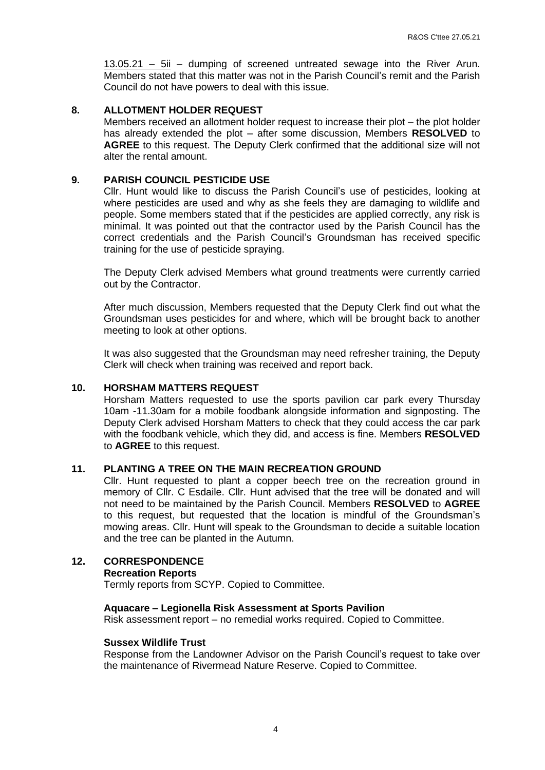13.05.21 – 5ii – dumping of screened untreated sewage into the River Arun. Members stated that this matter was not in the Parish Council's remit and the Parish Council do not have powers to deal with this issue.

## **8. ALLOTMENT HOLDER REQUEST**

Members received an allotment holder request to increase their plot – the plot holder has already extended the plot – after some discussion, Members **RESOLVED** to **AGREE** to this request. The Deputy Clerk confirmed that the additional size will not alter the rental amount.

### **9. PARISH COUNCIL PESTICIDE USE**

Cllr. Hunt would like to discuss the Parish Council's use of pesticides, looking at where pesticides are used and why as she feels they are damaging to wildlife and people. Some members stated that if the pesticides are applied correctly, any risk is minimal. It was pointed out that the contractor used by the Parish Council has the correct credentials and the Parish Council's Groundsman has received specific training for the use of pesticide spraying.

The Deputy Clerk advised Members what ground treatments were currently carried out by the Contractor.

After much discussion, Members requested that the Deputy Clerk find out what the Groundsman uses pesticides for and where, which will be brought back to another meeting to look at other options.

It was also suggested that the Groundsman may need refresher training, the Deputy Clerk will check when training was received and report back.

### **10. HORSHAM MATTERS REQUEST**

Horsham Matters requested to use the sports pavilion car park every Thursday 10am -11.30am for a mobile foodbank alongside information and signposting. The Deputy Clerk advised Horsham Matters to check that they could access the car park with the foodbank vehicle, which they did, and access is fine. Members **RESOLVED**  to **AGREE** to this request.

## **11. PLANTING A TREE ON THE MAIN RECREATION GROUND**

Cllr. Hunt requested to plant a copper beech tree on the recreation ground in memory of Cllr. C Esdaile. Cllr. Hunt advised that the tree will be donated and will not need to be maintained by the Parish Council. Members **RESOLVED** to **AGREE** to this request, but requested that the location is mindful of the Groundsman's mowing areas. Cllr. Hunt will speak to the Groundsman to decide a suitable location and the tree can be planted in the Autumn.

# **12. CORRESPONDENCE**

### **Recreation Reports**

Termly reports from SCYP. Copied to Committee.

### **Aquacare – Legionella Risk Assessment at Sports Pavilion**

Risk assessment report – no remedial works required. Copied to Committee.

### **Sussex Wildlife Trust**

Response from the Landowner Advisor on the Parish Council's request to take over the maintenance of Rivermead Nature Reserve. Copied to Committee.